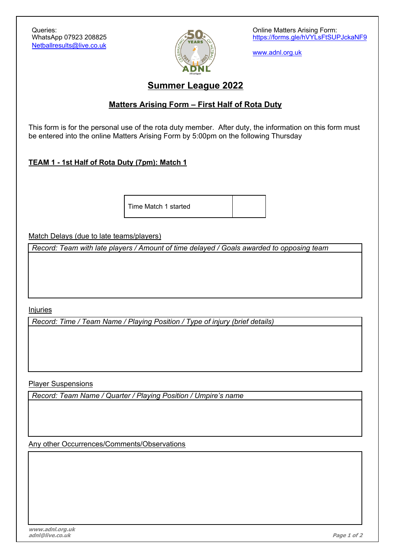

Online Matters Arising Form: https://forms.gle/hVYLsFtSUPJckaNF9

www.adnl.org.uk

# **Summer League 2022**

### **Matters Arising Form – First Half of Rota Duty**

This form is for the personal use of the rota duty member. After duty, the information on this form must be entered into the online Matters Arising Form by 5:00pm on the following Thursday

#### **TEAM 1 - 1st Half of Rota Duty (7pm): Match 1**

Time Match 1 started

Match Delays (due to late teams/players)

*Record: Team with late players / Amount of time delayed / Goals awarded to opposing team*

Injuries

*Record: Time / Team Name / Playing Position / Type of injury (brief details)*

Player Suspensions

*Record: Team Name / Quarter / Playing Position / Umpire's name*

Any other Occurrences/Comments/Observations